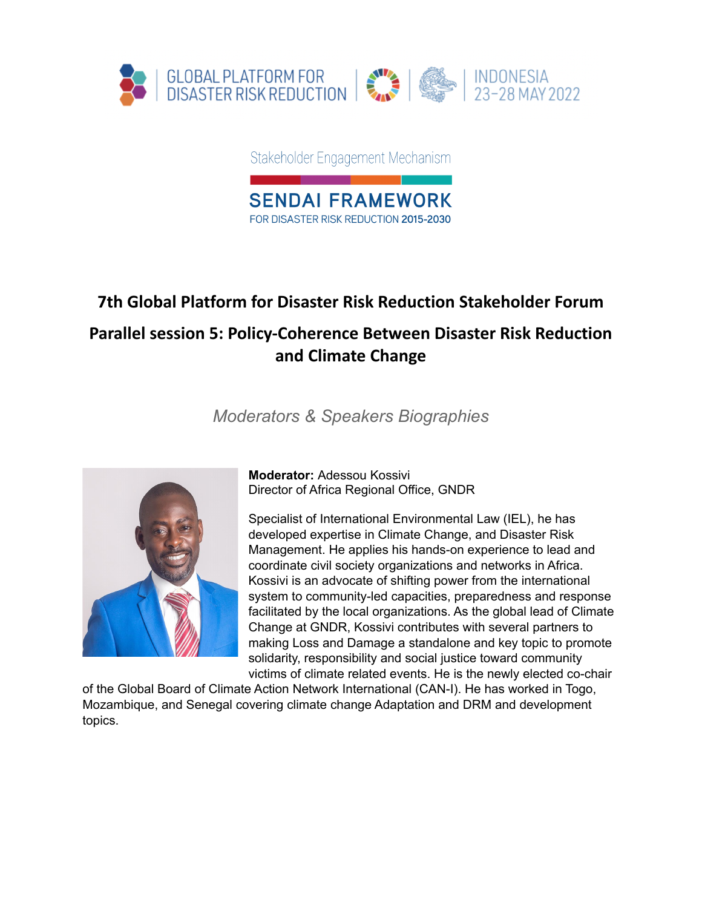

Stakeholder Engagement Mechanism

**SENDAI FRAMEWORK** FOR DISASTER RISK REDUCTION 2015-2030

## **7th Global Platform for Disaster Risk Reduction Stakeholder Forum**

## **Parallel session 5: Policy-Coherence Between Disaster Risk Reduction and Climate Change**

*Moderators & Speakers Biographies*



**Moderator:** Adessou Kossivi Director of Africa Regional Office, GNDR

Specialist of International Environmental Law (IEL), he has developed expertise in Climate Change, and Disaster Risk Management. He applies his hands-on experience to lead and coordinate civil society organizations and networks in Africa. Kossivi is an advocate of shifting power from the international system to community-led capacities, preparedness and response facilitated by the local organizations. As the global lead of Climate Change at GNDR, Kossivi contributes with several partners to making Loss and Damage a standalone and key topic to promote solidarity, responsibility and social justice toward community victims of climate related events. He is the newly elected co-chair

of the Global Board of Climate Action Network International (CAN-I). He has worked in Togo, Mozambique, and Senegal covering climate change Adaptation and DRM and development topics.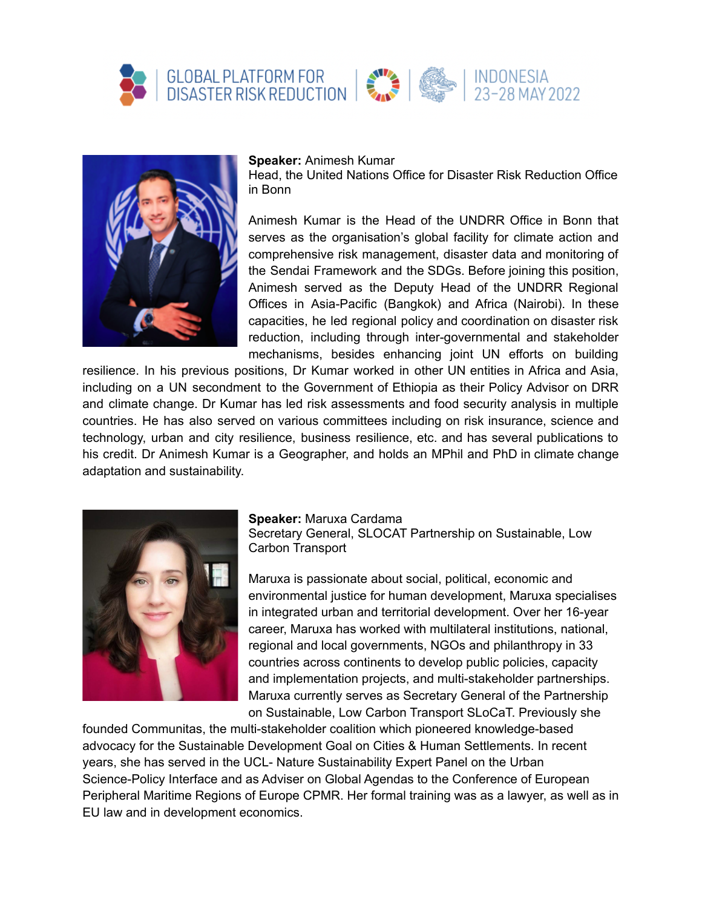



## **Speaker:** Animesh Kumar

Head, the United Nations Office for Disaster Risk Reduction Office in Bonn

Animesh Kumar is the Head of the UNDRR Office in Bonn that serves as the organisation's global facility for climate action and comprehensive risk management, disaster data and monitoring of the Sendai Framework and the SDGs. Before joining this position, Animesh served as the Deputy Head of the UNDRR Regional Offices in Asia-Pacific (Bangkok) and Africa (Nairobi). In these capacities, he led regional policy and coordination on disaster risk reduction, including through inter-governmental and stakeholder mechanisms, besides enhancing joint UN efforts on building

resilience. In his previous positions, Dr Kumar worked in other UN entities in Africa and Asia, including on a UN secondment to the Government of Ethiopia as their Policy Advisor on DRR and climate change. Dr Kumar has led risk assessments and food security analysis in multiple countries. He has also served on various committees including on risk insurance, science and technology, urban and city resilience, business resilience, etc. and has several publications to his credit. Dr Animesh Kumar is a Geographer, and holds an MPhil and PhD in climate change adaptation and sustainability.



## **Speaker:** Maruxa Cardama

Secretary General, SLOCAT Partnership on Sustainable, Low Carbon Transport

Maruxa is passionate about social, political, economic and environmental justice for human development, Maruxa specialises in integrated urban and territorial development. Over her 16-year career, Maruxa has worked with multilateral institutions, national, regional and local governments, NGOs and philanthropy in 33 countries across continents to develop public policies, capacity and implementation projects, and multi-stakeholder partnerships. Maruxa currently serves as Secretary General of the Partnership on Sustainable, Low Carbon Transport SLoCaT. Previously she

founded Communitas, the multi-stakeholder coalition which pioneered knowledge-based advocacy for the Sustainable Development Goal on Cities & Human Settlements. In recent years, she has served in the UCL- Nature Sustainability Expert Panel on the Urban Science-Policy Interface and as Adviser on Global Agendas to the Conference of European Peripheral Maritime Regions of Europe CPMR. Her formal training was as a lawyer, as well as in EU law and in development economics.